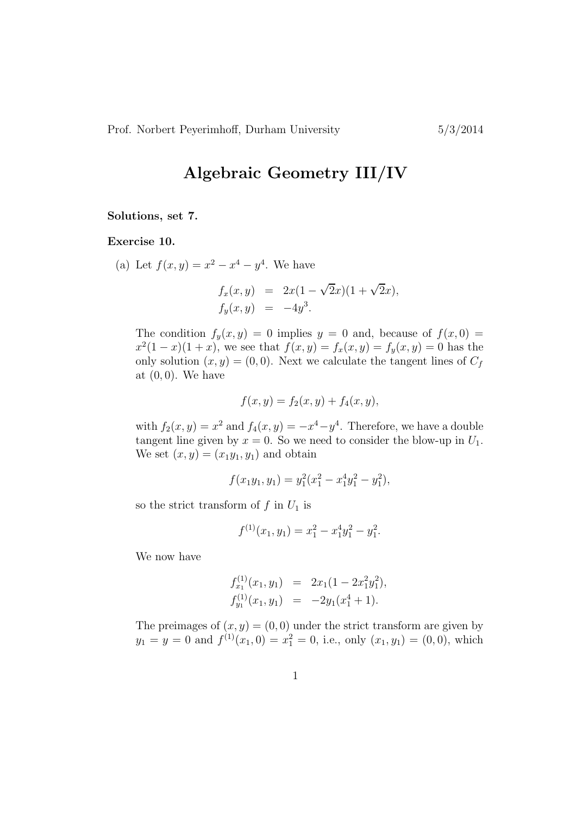## Algebraic Geometry III/IV

## Solutions, set 7.

Exercise 10.

(a) Let  $f(x, y) = x^2 - x^4 - y^4$ . We have

$$
f_x(x, y) = 2x(1 - \sqrt{2}x)(1 + \sqrt{2}x), \n f_y(x, y) = -4y^3.
$$

The condition  $f_y(x, y) = 0$  implies  $y = 0$  and, because of  $f(x, 0) =$  $x^2(1-x)(1+x)$ , we see that  $f(x,y) = f_x(x,y) = f_y(x,y) = 0$  has the only solution  $(x, y) = (0, 0)$ . Next we calculate the tangent lines of  $C_f$ at  $(0, 0)$ . We have

$$
f(x, y) = f_2(x, y) + f_4(x, y),
$$

with  $f_2(x, y) = x^2$  and  $f_4(x, y) = -x^4 - y^4$ . Therefore, we have a double tangent line given by  $x = 0$ . So we need to consider the blow-up in  $U_1$ . We set  $(x, y) = (x_1y_1, y_1)$  and obtain

$$
f(x_1y_1, y_1) = y_1^2(x_1^2 - x_1^4y_1^2 - y_1^2),
$$

so the strict transform of  $f$  in  $U_1$  is

$$
f^{(1)}(x_1, y_1) = x_1^2 - x_1^4 y_1^2 - y_1^2.
$$

We now have

$$
f_{x_1}^{(1)}(x_1, y_1) = 2x_1(1 - 2x_1^2y_1^2),
$$
  
\n
$$
f_{y_1}^{(1)}(x_1, y_1) = -2y_1(x_1^4 + 1).
$$

The preimages of  $(x, y) = (0, 0)$  under the strict transform are given by  $y_1 = y = 0$  and  $f^{(1)}(x_1, 0) = x_1^2 = 0$ , i.e., only  $(x_1, y_1) = (0, 0)$ , which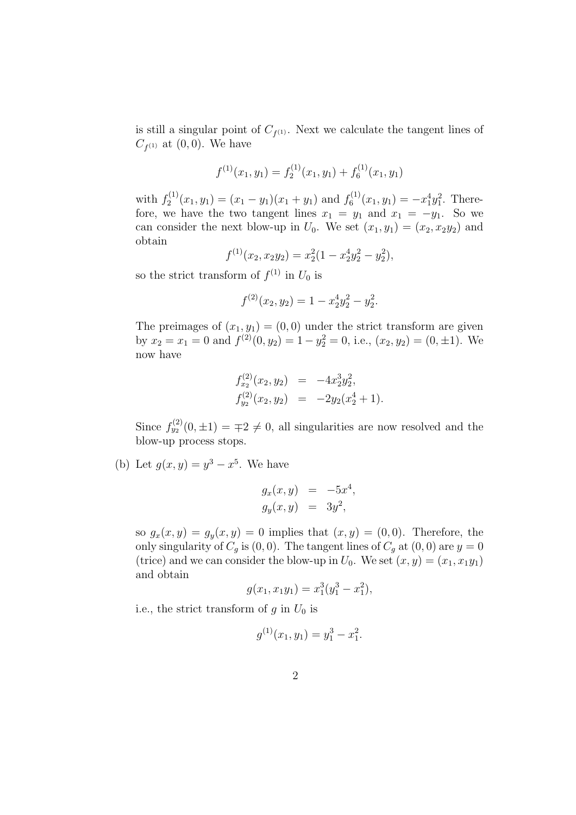is still a singular point of  $C_{f^{(1)}}$ . Next we calculate the tangent lines of  $C_{f^{(1)}}$  at  $(0,0)$ . We have

$$
f^{(1)}(x_1, y_1) = f_2^{(1)}(x_1, y_1) + f_6^{(1)}(x_1, y_1)
$$

with  $f_2^{(1)}$  $y_2^{(1)}(x_1, y_1) = (x_1 - y_1)(x_1 + y_1)$  and  $f_6^{(1)}$  $x_6^{(1)}(x_1, y_1) = -x_1^4 y_1^2$ . Therefore, we have the two tangent lines  $x_1 = y_1$  and  $x_1 = -y_1$ . So we can consider the next blow-up in  $U_0$ . We set  $(x_1, y_1) = (x_2, x_2y_2)$  and obtain

$$
f^{(1)}(x_2, x_2y_2) = x_2^2(1 - x_2^4y_2^2 - y_2^2),
$$

so the strict transform of  $f^{(1)}$  in  $U_0$  is

$$
f^{(2)}(x_2, y_2) = 1 - x_2^4 y_2^2 - y_2^2.
$$

The preimages of  $(x_1, y_1) = (0, 0)$  under the strict transform are given by  $x_2 = x_1 = 0$  and  $f^{(2)}(0, y_2) = 1 - y_2^2 = 0$ , i.e.,  $(x_2, y_2) = (0, \pm 1)$ . We now have

$$
f_{x_2}^{(2)}(x_2, y_2) = -4x_2^3 y_2^2,
$$
  
\n
$$
f_{y_2}^{(2)}(x_2, y_2) = -2y_2(x_2^4 + 1).
$$

Since  $f_{y_2}^{(2)}(0,\pm 1) = \pm 2 \neq 0$ , all singularities are now resolved and the blow-up process stops.

(b) Let  $g(x, y) = y^3 - x^5$ . We have

$$
g_x(x, y) = -5x^4, g_y(x, y) = 3y^2,
$$

so  $g_x(x, y) = g_y(x, y) = 0$  implies that  $(x, y) = (0, 0)$ . Therefore, the only singularity of  $C_g$  is  $(0,0)$ . The tangent lines of  $C_g$  at  $(0,0)$  are  $y=0$ (trice) and we can consider the blow-up in  $U_0$ . We set  $(x, y) = (x_1, x_1y_1)$ and obtain

$$
g(x_1, x_1y_1) = x_1^3(y_1^3 - x_1^2),
$$

i.e., the strict transform of  $g$  in  $U_0$  is

$$
g^{(1)}(x_1, y_1) = y_1^3 - x_1^2.
$$